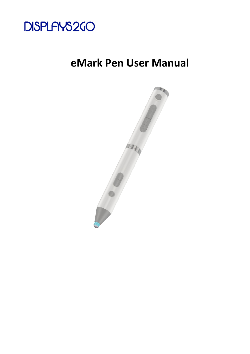

# **eMark Pen User Manual**

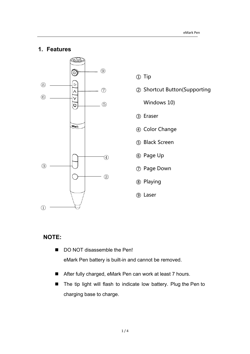## **1. Features**



- Tip
- Shortcut Button(Supporting

Windows 10)

- Eraser
- Color Change
- Black Screen
- Page Up
- Page Down
- Playing
- Laser

## **NOTE:**

- DO NOT disassemble the Pen! eMark Pen battery is built-in and cannot be removed.
- After fully charged, eMark Pen can work at least 7 hours.
- The tip light will flash to indicate low battery. Plug the Pen to charging base to charge.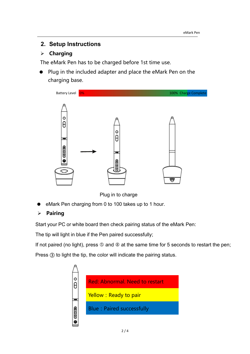# **2. Setup Instructions**

## $\triangleright$  Charging

The eMark Pen has to be charged before 1st time use.

 Plug in the included adapter and place the eMark Pen on the charging base.



Plug in to charge

eMark Pen charging from 0 to 100 takes up to 1 hour.

## **Pairing**

Start your PC or white board then check pairing status of the eMark Pen:

The tip will light in blue if the Pen paired successfully;

If not paired (no light), press  $\circledS$  and  $\circledS$  at the same time for 5 seconds to restart the pen;

Press ③ to light the tip, the color will indicate the pairing status.

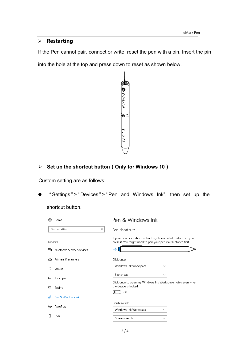## $\triangleright$  Restarting

If the Pen cannot pair, connect or write, reset the pen with a pin. Insert the pin

into the hole at the top and press down to reset as shown below.



## **Set up the shortcut button**(**Only for Windows 10**)

Custom setting are as follows:

" Settings " > " Devices " > " Pen and Windows Ink", then set up the

shortcut button.

| Home<br>503                              | Pen & Windows Ink                                                                                                               |  |  |
|------------------------------------------|---------------------------------------------------------------------------------------------------------------------------------|--|--|
| Find a setting<br>Q                      | Pen shortcuts                                                                                                                   |  |  |
| Devices                                  | If your pen has a shortcut button, choose what to do when you<br>press it. You might need to pair your pen via Bluetooth first. |  |  |
| 哨<br>Bluetooth & other devices           |                                                                                                                                 |  |  |
| 品<br>Printers & scanners                 | Click once                                                                                                                      |  |  |
| Μ<br>Mouse                               | Windows Ink Workspace<br>$\checkmark$                                                                                           |  |  |
| Touchpad<br>ᆸ                            | Sketchpad<br>$\checkmark$                                                                                                       |  |  |
| Typing<br><b>Fill</b>                    | Click once to open my Windows Ink Workspace notes even when<br>the device is locked                                             |  |  |
| Pen & Windows Ink<br>ℐ                   | Off                                                                                                                             |  |  |
| AutoPlay<br>$\scriptstyle{\mathrm{(e)}}$ | Double-click                                                                                                                    |  |  |
|                                          | Windows Ink Workspace<br>$\checkmark$                                                                                           |  |  |
| <b>USB</b>                               | Screen sketch<br>$\checkmark$                                                                                                   |  |  |